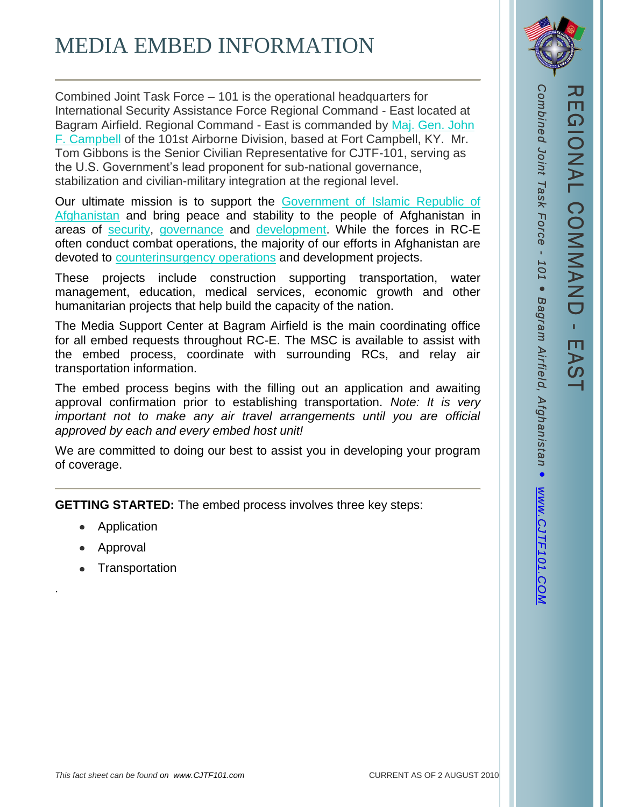## MEDIA EMBED INFORMATION

Combined Joint Task Force – 101 is the operational headquarters for International Security Assistance Force Regional Command - East located at Bagram Airfield. Regional Command - East is commanded by [Maj. Gen. John](http://www.isaf.nato.int/about-isaf/leadership/major-general-john-f.-campbell.html)  [F. Campbell](http://www.isaf.nato.int/about-isaf/leadership/major-general-john-f.-campbell.html) of the 101st Airborne Division, based at Fort Campbell, KY. Mr. Tom Gibbons is the Senior Civilian Representative for CJTF-101, serving as the U.S. Government's lead proponent for sub-national governance, stabilization and civilian-military integration at the regional level.

Our ultimate mission is to support the [Government of Islamic Republic of](http://www.isaf.nato.int/focus/afghan-partners/index.php)  [Afghanistan](http://www.isaf.nato.int/focus/afghan-partners/index.php) and bring peace and stability to the people of Afghanistan in areas of [security,](http://www.isaf.nato.int/focus/security/index.php) [governance](http://www.isaf.nato.int/focus/governance/index.php) and [development.](http://www.isaf.nato.int/focus/development/index.php) While the forces in RC-E often conduct combat operations, the majority of our efforts in Afghanistan are devoted to [counterinsurgency operations](http://www.isaf.nato.int/images/stories/File/COMISAF/COMISAF_COIN_Guidance_01Aug10_.doc) and development projects.

These projects include construction supporting transportation, water management, education, medical services, economic growth and other humanitarian projects that help build the capacity of the nation.

The Media Support Center at Bagram Airfield is the main coordinating office for all embed requests throughout RC-E. The MSC is available to assist with the embed process, coordinate with surrounding RCs, and relay air transportation information.

The embed process begins with the filling out an application and awaiting approval confirmation prior to establishing transportation. *Note: It is very important not to make any air travel arrangements until you are official approved by each and every embed host unit!* 

We are committed to doing our best to assist you in developing your program of coverage.

**GETTING STARTED:** The embed process involves three key steps:

- Application
- Approval

.

• Transportation

*Combined Joint Task Force -* Combined Joint Task Force -*101*  $\bullet$ O *Bagram Airfield, Afghanistan Airfield,* Ō WWW.CJTF101.CON *[www.CJTF101.COM](http://www.cjtf101.com/)*

EAST EAST

REGIONAL COMMAND

**L COMMAND** 

**NONA** 

REGIONAL COMMAND

π  $\Omega$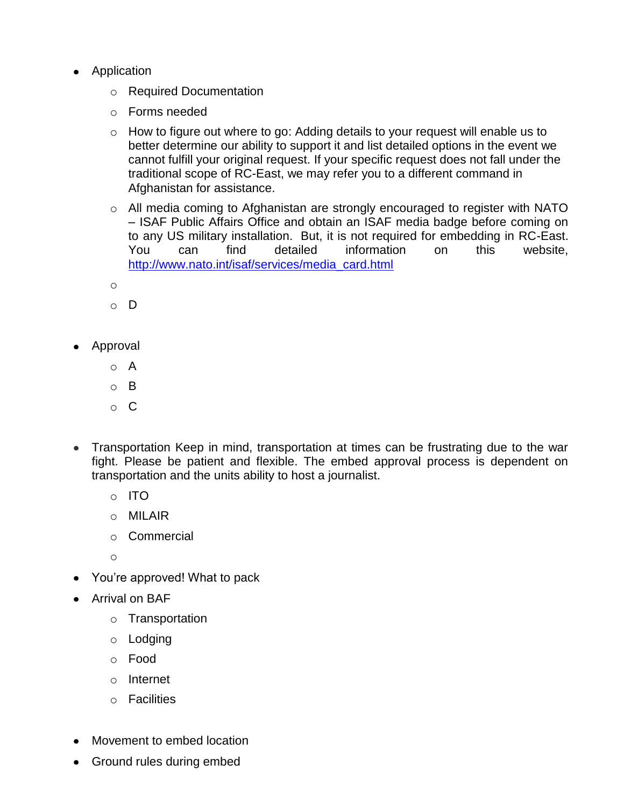- Application
	- o Required Documentation
	- o Forms needed
	- $\circ$  How to figure out where to go: Adding details to your request will enable us to better determine our ability to support it and list detailed options in the event we cannot fulfill your original request. If your specific request does not fall under the traditional scope of RC-East, we may refer you to a different command in Afghanistan for assistance.
	- o All media coming to Afghanistan are strongly encouraged to register with NATO – ISAF Public Affairs Office and obtain an ISAF media badge before coming on to any US military installation. But, it is not required for embedding in RC-East. You can find detailed information on this website, [http://www.nato.int/isaf/services/media\\_card.html](http://www.nato.int/isaf/services/media_card.html)
	- o
	- o D
- Approval
	- o A
	- o B
	- o C
- Transportation Keep in mind, transportation at times can be frustrating due to the war fight. Please be patient and flexible. The embed approval process is dependent on transportation and the units ability to host a journalist.
	- o ITO
	- o MILAIR
	- o Commercial

o

- You're approved! What to pack
- Arrival on BAF
	- o Transportation
	- o Lodging
	- o Food
	- o Internet
	- o Facilities
- Movement to embed location
- Ground rules during embed